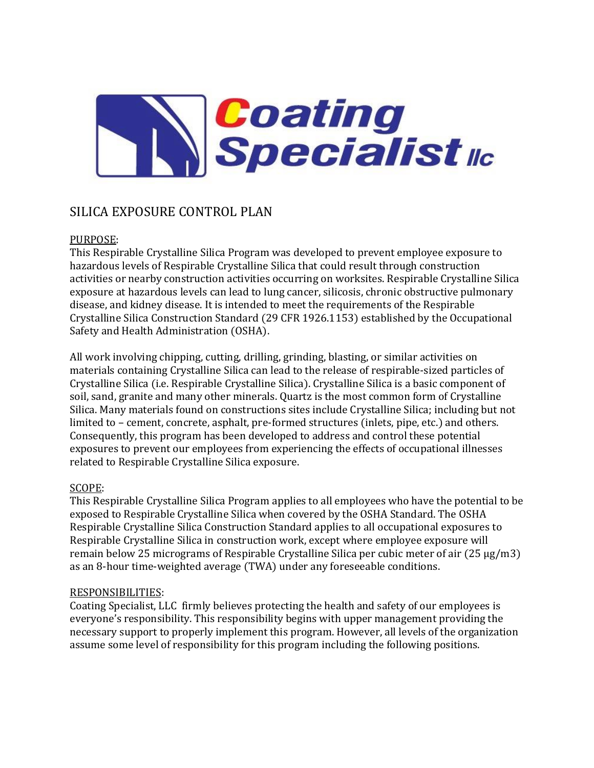

# SILICA EXPOSURE CONTROL PLAN

# PURPOSE:

This Respirable Crystalline Silica Program was developed to prevent employee exposure to hazardous levels of Respirable Crystalline Silica that could result through construction activities or nearby construction activities occurring on worksites. Respirable Crystalline Silica exposure at hazardous levels can lead to lung cancer, silicosis, chronic obstructive pulmonary disease, and kidney disease. It is intended to meet the requirements of the Respirable Crystalline Silica Construction Standard (29 CFR 1926.1153) established by the Occupational Safety and Health Administration (OSHA).

All work involving chipping, cutting, drilling, grinding, blasting, or similar activities on materials containing Crystalline Silica can lead to the release of respirable-sized particles of Crystalline Silica (i.e. Respirable Crystalline Silica). Crystalline Silica is a basic component of soil, sand, granite and many other minerals. Quartz is the most common form of Crystalline Silica. Many materials found on constructions sites include Crystalline Silica; including but not limited to – cement, concrete, asphalt, pre-formed structures (inlets, pipe, etc.) and others. Consequently, this program has been developed to address and control these potential exposures to prevent our employees from experiencing the effects of occupational illnesses related to Respirable Crystalline Silica exposure.

# SCOPE:

This Respirable Crystalline Silica Program applies to all employees who have the potential to be exposed to Respirable Crystalline Silica when covered by the OSHA Standard. The OSHA Respirable Crystalline Silica Construction Standard applies to all occupational exposures to Respirable Crystalline Silica in construction work, except where employee exposure will remain below 25 micrograms of Respirable Crystalline Silica per cubic meter of air (25 μg/m3) as an 8-hour time-weighted average (TWA) under any foreseeable conditions.

#### RESPONSIBILITIES:

Coating Specialist, LLC firmly believes protecting the health and safety of our employees is everyone's responsibility. This responsibility begins with upper management providing the necessary support to properly implement this program. However, all levels of the organization assume some level of responsibility for this program including the following positions.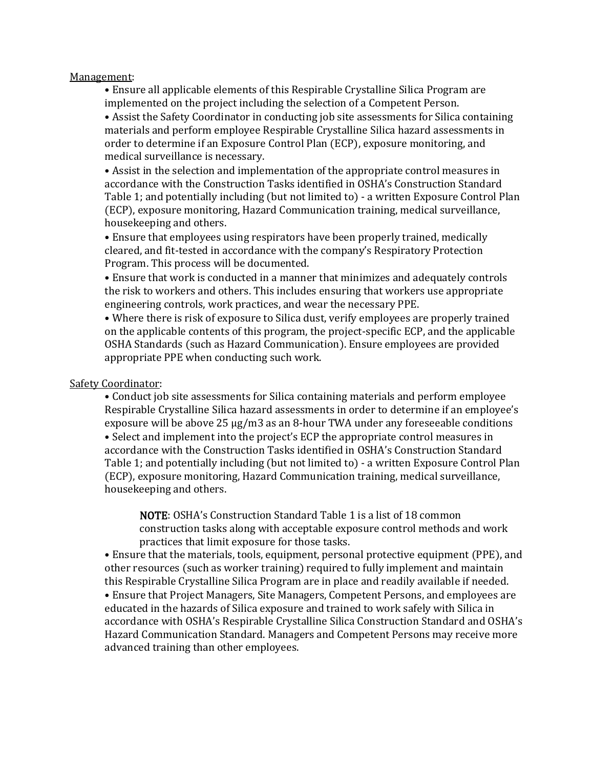#### Management:

• Ensure all applicable elements of this Respirable Crystalline Silica Program are implemented on the project including the selection of a Competent Person.

• Assist the Safety Coordinator in conducting job site assessments for Silica containing materials and perform employee Respirable Crystalline Silica hazard assessments in order to determine if an Exposure Control Plan (ECP), exposure monitoring, and medical surveillance is necessary.

• Assist in the selection and implementation of the appropriate control measures in accordance with the Construction Tasks identified in OSHA's Construction Standard Table 1; and potentially including (but not limited to) - a written Exposure Control Plan (ECP), exposure monitoring, Hazard Communication training, medical surveillance, housekeeping and others.

• Ensure that employees using respirators have been properly trained, medically cleared, and fit-tested in accordance with the company's Respiratory Protection Program. This process will be documented.

• Ensure that work is conducted in a manner that minimizes and adequately controls the risk to workers and others. This includes ensuring that workers use appropriate engineering controls, work practices, and wear the necessary PPE.

• Where there is risk of exposure to Silica dust, verify employees are properly trained on the applicable contents of this program, the project-specific ECP, and the applicable OSHA Standards (such as Hazard Communication). Ensure employees are provided appropriate PPE when conducting such work.

#### Safety Coordinator:

• Conduct job site assessments for Silica containing materials and perform employee Respirable Crystalline Silica hazard assessments in order to determine if an employee's exposure will be above 25 μg/m3 as an 8-hour TWA under any foreseeable conditions

• Select and implement into the project's ECP the appropriate control measures in accordance with the Construction Tasks identified in OSHA's Construction Standard Table 1; and potentially including (but not limited to) - a written Exposure Control Plan (ECP), exposure monitoring, Hazard Communication training, medical surveillance, housekeeping and others.

NOTE: OSHA's Construction Standard Table 1 is a list of 18 common construction tasks along with acceptable exposure control methods and work practices that limit exposure for those tasks.

• Ensure that the materials, tools, equipment, personal protective equipment (PPE), and other resources (such as worker training) required to fully implement and maintain this Respirable Crystalline Silica Program are in place and readily available if needed.

• Ensure that Project Managers, Site Managers, Competent Persons, and employees are educated in the hazards of Silica exposure and trained to work safely with Silica in accordance with OSHA's Respirable Crystalline Silica Construction Standard and OSHA's Hazard Communication Standard. Managers and Competent Persons may receive more advanced training than other employees.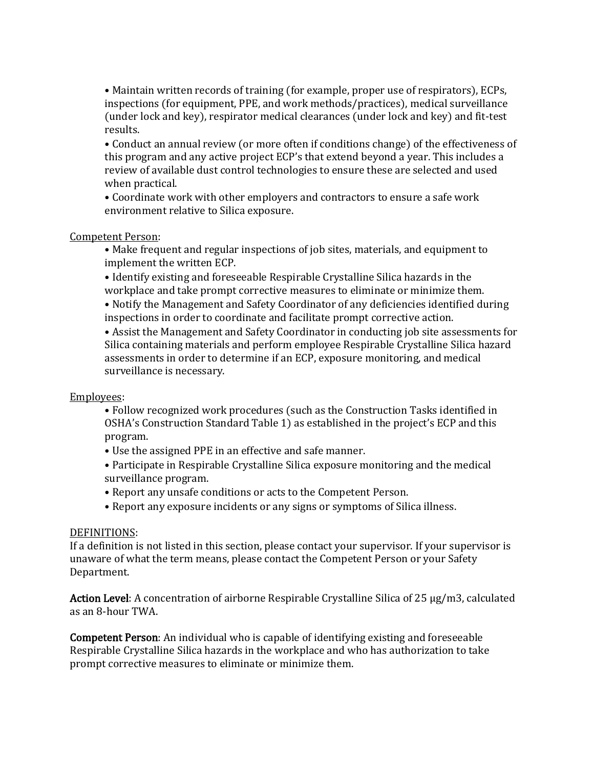• Maintain written records of training (for example, proper use of respirators), ECPs, inspections (for equipment, PPE, and work methods/practices), medical surveillance (under lock and key), respirator medical clearances (under lock and key) and fit-test results.

• Conduct an annual review (or more often if conditions change) of the effectiveness of this program and any active project ECP's that extend beyond a year. This includes a review of available dust control technologies to ensure these are selected and used when practical.

• Coordinate work with other employers and contractors to ensure a safe work environment relative to Silica exposure.

#### Competent Person:

• Make frequent and regular inspections of job sites, materials, and equipment to implement the written ECP.

• Identify existing and foreseeable Respirable Crystalline Silica hazards in the workplace and take prompt corrective measures to eliminate or minimize them.

• Notify the Management and Safety Coordinator of any deficiencies identified during inspections in order to coordinate and facilitate prompt corrective action.

• Assist the Management and Safety Coordinator in conducting job site assessments for Silica containing materials and perform employee Respirable Crystalline Silica hazard assessments in order to determine if an ECP, exposure monitoring, and medical surveillance is necessary.

#### Employees:

- Follow recognized work procedures (such as the Construction Tasks identified in OSHA's Construction Standard Table 1) as established in the project's ECP and this program.
- Use the assigned PPE in an effective and safe manner.
- Participate in Respirable Crystalline Silica exposure monitoring and the medical surveillance program.
- Report any unsafe conditions or acts to the Competent Person.
- Report any exposure incidents or any signs or symptoms of Silica illness.

#### DEFINITIONS:

If a definition is not listed in this section, please contact your supervisor. If your supervisor is unaware of what the term means, please contact the Competent Person or your Safety Department.

Action Level: A concentration of airborne Respirable Crystalline Silica of 25 μg/m3, calculated as an 8-hour TWA.

Competent Person: An individual who is capable of identifying existing and foreseeable Respirable Crystalline Silica hazards in the workplace and who has authorization to take prompt corrective measures to eliminate or minimize them.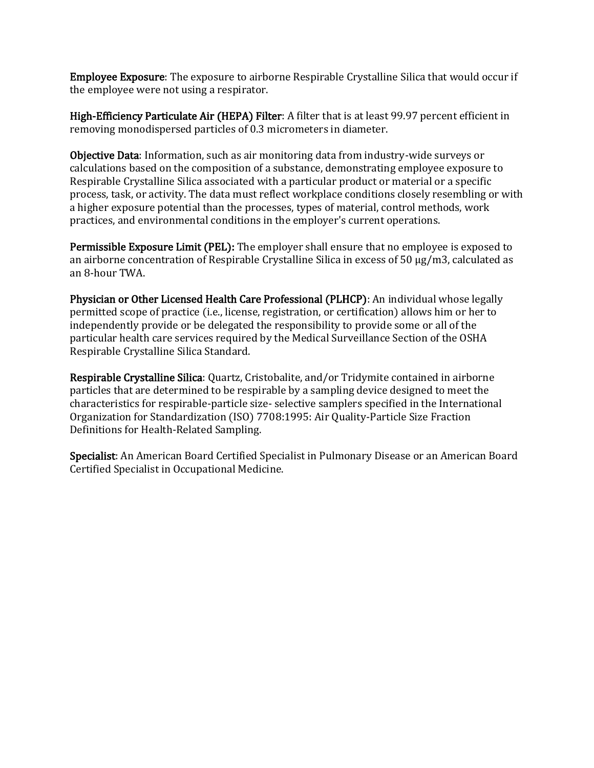Employee Exposure: The exposure to airborne Respirable Crystalline Silica that would occur if the employee were not using a respirator.

High-Efficiency Particulate Air (HEPA) Filter: A filter that is at least 99.97 percent efficient in removing monodispersed particles of 0.3 micrometers in diameter.

Objective Data: Information, such as air monitoring data from industry-wide surveys or calculations based on the composition of a substance, demonstrating employee exposure to Respirable Crystalline Silica associated with a particular product or material or a specific process, task, or activity. The data must reflect workplace conditions closely resembling or with a higher exposure potential than the processes, types of material, control methods, work practices, and environmental conditions in the employer's current operations.

Permissible Exposure Limit (PEL): The employer shall ensure that no employee is exposed to an airborne concentration of Respirable Crystalline Silica in excess of 50 μg/m3, calculated as an 8-hour TWA.

Physician or Other Licensed Health Care Professional (PLHCP): An individual whose legally permitted scope of practice (i.e., license, registration, or certification) allows him or her to independently provide or be delegated the responsibility to provide some or all of the particular health care services required by the Medical Surveillance Section of the OSHA Respirable Crystalline Silica Standard.

Respirable Crystalline Silica: Quartz, Cristobalite, and/or Tridymite contained in airborne particles that are determined to be respirable by a sampling device designed to meet the characteristics for respirable-particle size- selective samplers specified in the International Organization for Standardization (ISO) 7708:1995: Air Quality-Particle Size Fraction Definitions for Health-Related Sampling.

Specialist: An American Board Certified Specialist in Pulmonary Disease or an American Board Certified Specialist in Occupational Medicine.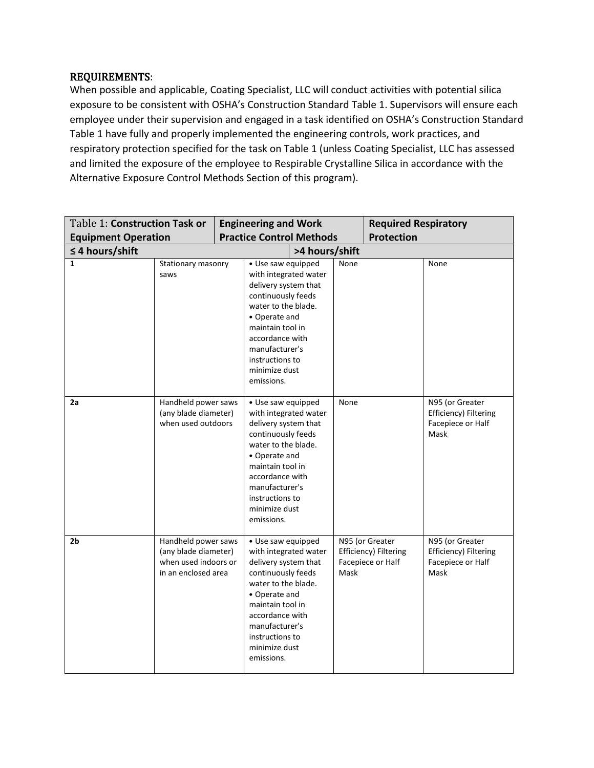# REQUIREMENTS:

When possible and applicable, Coating Specialist, LLC will conduct activities with potential silica exposure to be consistent with OSHA's Construction Standard Table 1. Supervisors will ensure each employee under their supervision and engaged in a task identified on OSHA's Construction Standard Table 1 have fully and properly implemented the engineering controls, work practices, and respiratory protection specified for the task on Table 1 (unless Coating Specialist, LLC has assessed and limited the exposure of the employee to Respirable Crystalline Silica in accordance with the Alternative Exposure Control Methods Section of this program).

| Table 1: Construction Task or |                                                                                            | <b>Engineering and Work</b>     |                                                                                                                                                                                                                                              |                |                   | <b>Required Respiratory</b>                                   |                                                                       |
|-------------------------------|--------------------------------------------------------------------------------------------|---------------------------------|----------------------------------------------------------------------------------------------------------------------------------------------------------------------------------------------------------------------------------------------|----------------|-------------------|---------------------------------------------------------------|-----------------------------------------------------------------------|
| <b>Equipment Operation</b>    |                                                                                            | <b>Practice Control Methods</b> |                                                                                                                                                                                                                                              |                | <b>Protection</b> |                                                               |                                                                       |
| $\leq$ 4 hours/shift          |                                                                                            |                                 |                                                                                                                                                                                                                                              | >4 hours/shift |                   |                                                               |                                                                       |
| 1                             | Stationary masonry<br>saws                                                                 |                                 | · Use saw equipped<br>with integrated water<br>delivery system that<br>continuously feeds<br>water to the blade.<br>• Operate and<br>maintain tool in<br>accordance with<br>manufacturer's<br>instructions to<br>minimize dust<br>emissions. |                | None<br>None      |                                                               | None                                                                  |
| 2a                            | Handheld power saws<br>(any blade diameter)<br>when used outdoors                          |                                 | • Use saw equipped<br>with integrated water<br>delivery system that<br>continuously feeds<br>water to the blade.<br>• Operate and<br>maintain tool in<br>accordance with<br>manufacturer's<br>instructions to<br>minimize dust<br>emissions. |                |                   |                                                               | N95 (or Greater<br>Efficiency) Filtering<br>Facepiece or Half<br>Mask |
| 2 <sub>b</sub>                | Handheld power saws<br>(any blade diameter)<br>when used indoors or<br>in an enclosed area |                                 | • Use saw equipped<br>with integrated water<br>delivery system that<br>continuously feeds<br>water to the blade.<br>• Operate and<br>maintain tool in<br>accordance with<br>manufacturer's<br>instructions to<br>minimize dust<br>emissions. |                | Mask              | N95 (or Greater<br>Efficiency) Filtering<br>Facepiece or Half | N95 (or Greater<br>Efficiency) Filtering<br>Facepiece or Half<br>Mask |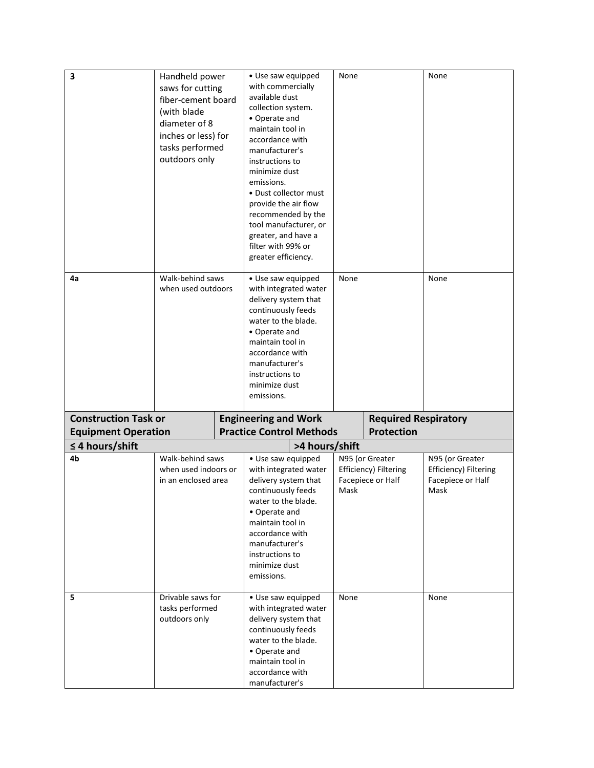| 3<br>4a                     | Handheld power<br>saws for cutting<br>fiber-cement board<br>(with blade<br>diameter of 8<br>inches or less) for<br>tasks performed<br>outdoors only<br>Walk-behind saws<br>when used outdoors | • Use saw equipped<br>with commercially<br>available dust<br>collection system.<br>• Operate and<br>maintain tool in<br>accordance with<br>manufacturer's<br>instructions to<br>minimize dust<br>emissions.<br>• Dust collector must<br>provide the air flow<br>recommended by the<br>tool manufacturer, or<br>greater, and have a<br>filter with 99% or<br>greater efficiency.<br>· Use saw equipped<br>with integrated water<br>delivery system that<br>continuously feeds<br>water to the blade.<br>• Operate and<br>maintain tool in<br>accordance with<br>manufacturer's<br>instructions to<br>minimize dust | None<br>None |                                                               | None<br>None                                                          |
|-----------------------------|-----------------------------------------------------------------------------------------------------------------------------------------------------------------------------------------------|-------------------------------------------------------------------------------------------------------------------------------------------------------------------------------------------------------------------------------------------------------------------------------------------------------------------------------------------------------------------------------------------------------------------------------------------------------------------------------------------------------------------------------------------------------------------------------------------------------------------|--------------|---------------------------------------------------------------|-----------------------------------------------------------------------|
| <b>Construction Task or</b> |                                                                                                                                                                                               | emissions.<br><b>Engineering and Work</b>                                                                                                                                                                                                                                                                                                                                                                                                                                                                                                                                                                         |              | <b>Required Respiratory</b>                                   |                                                                       |
| <b>Equipment Operation</b>  |                                                                                                                                                                                               | <b>Practice Control Methods</b>                                                                                                                                                                                                                                                                                                                                                                                                                                                                                                                                                                                   |              | <b>Protection</b>                                             |                                                                       |
| $\leq$ 4 hours/shift        |                                                                                                                                                                                               | >4 hours/shift                                                                                                                                                                                                                                                                                                                                                                                                                                                                                                                                                                                                    |              |                                                               |                                                                       |
| 4b                          | Walk-behind saws<br>when used indoors or<br>in an enclosed area                                                                                                                               | · Use saw equipped<br>with integrated water<br>delivery system that<br>continuously feeds<br>water to the blade.<br>• Operate and<br>maintain tool in<br>accordance with<br>manufacturer's<br>instructions to<br>minimize dust<br>emissions.                                                                                                                                                                                                                                                                                                                                                                      | Mask         | N95 (or Greater<br>Efficiency) Filtering<br>Facepiece or Half | N95 (or Greater<br>Efficiency) Filtering<br>Facepiece or Half<br>Mask |
| 5                           | Drivable saws for<br>tasks performed<br>outdoors only                                                                                                                                         | · Use saw equipped<br>with integrated water<br>delivery system that<br>continuously feeds<br>water to the blade.<br>• Operate and<br>maintain tool in<br>accordance with<br>manufacturer's                                                                                                                                                                                                                                                                                                                                                                                                                        | None         |                                                               | None                                                                  |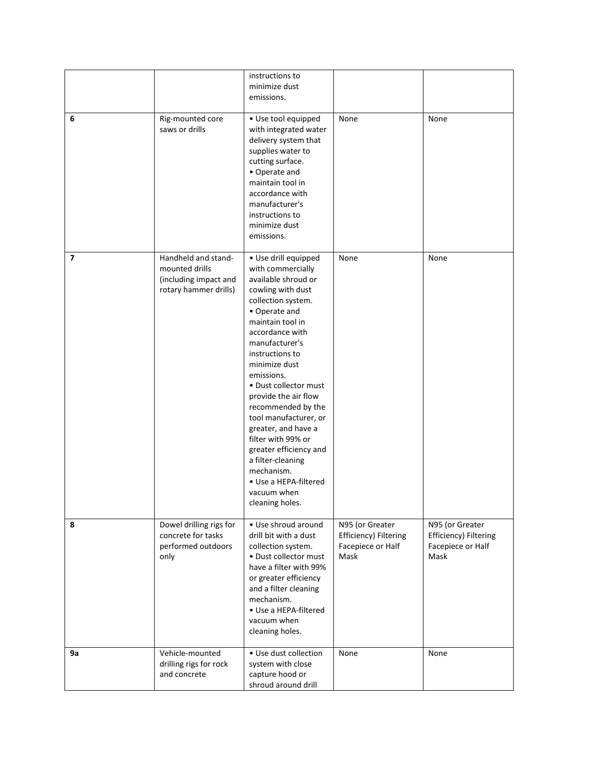|    |                                                                                         | instructions to<br>minimize dust<br>emissions.                                                                                                                                                                                                                                                                                                                                                                                                                                                               |                                                                       |                                                                       |
|----|-----------------------------------------------------------------------------------------|--------------------------------------------------------------------------------------------------------------------------------------------------------------------------------------------------------------------------------------------------------------------------------------------------------------------------------------------------------------------------------------------------------------------------------------------------------------------------------------------------------------|-----------------------------------------------------------------------|-----------------------------------------------------------------------|
| 6  | Rig-mounted core<br>saws or drills                                                      | · Use tool equipped<br>with integrated water<br>delivery system that<br>supplies water to<br>cutting surface.<br>• Operate and<br>maintain tool in<br>accordance with<br>manufacturer's<br>instructions to<br>minimize dust<br>emissions.                                                                                                                                                                                                                                                                    | None                                                                  | None                                                                  |
| 7  | Handheld and stand-<br>mounted drills<br>(including impact and<br>rotary hammer drills) | · Use drill equipped<br>with commercially<br>available shroud or<br>cowling with dust<br>collection system.<br>• Operate and<br>maintain tool in<br>accordance with<br>manufacturer's<br>instructions to<br>minimize dust<br>emissions.<br>• Dust collector must<br>provide the air flow<br>recommended by the<br>tool manufacturer, or<br>greater, and have a<br>filter with 99% or<br>greater efficiency and<br>a filter-cleaning<br>mechanism.<br>• Use a HEPA-filtered<br>vacuum when<br>cleaning holes. | None                                                                  | None                                                                  |
| 8  | Dowel drilling rigs for<br>concrete for tasks<br>performed outdoors<br>only             | • Use shroud around<br>drill bit with a dust<br>collection system.<br>· Dust collector must<br>have a filter with 99%<br>or greater efficiency<br>and a filter cleaning<br>mechanism.<br>• Use a HEPA-filtered<br>vacuum when<br>cleaning holes.                                                                                                                                                                                                                                                             | N95 (or Greater<br>Efficiency) Filtering<br>Facepiece or Half<br>Mask | N95 (or Greater<br>Efficiency) Filtering<br>Facepiece or Half<br>Mask |
| 9а | Vehicle-mounted<br>drilling rigs for rock<br>and concrete                               | • Use dust collection<br>system with close<br>capture hood or<br>shroud around drill                                                                                                                                                                                                                                                                                                                                                                                                                         | None                                                                  | None                                                                  |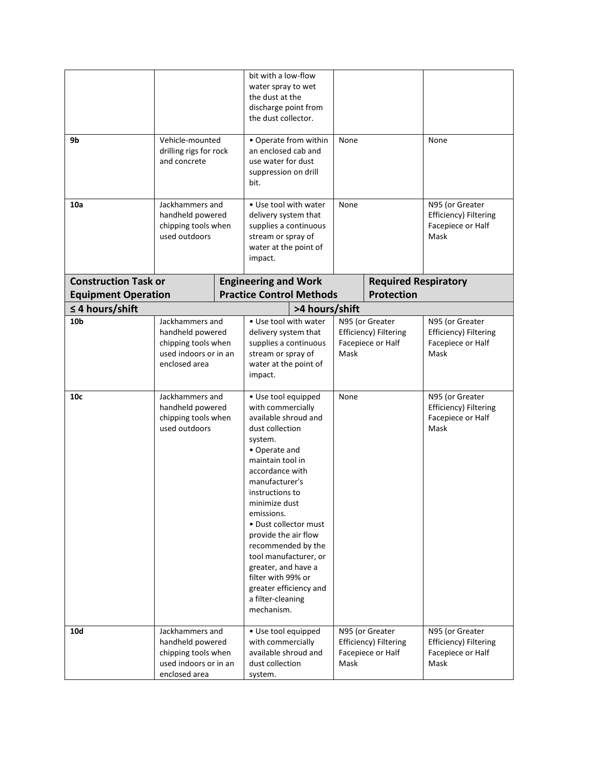|                                                    |                                                                                                      | bit with a low-flow<br>water spray to wet<br>the dust at the<br>discharge point from<br>the dust collector.                                                                                                                                                                                                                                                                                                                          |                                                                       |                                                               |                                                                       |
|----------------------------------------------------|------------------------------------------------------------------------------------------------------|--------------------------------------------------------------------------------------------------------------------------------------------------------------------------------------------------------------------------------------------------------------------------------------------------------------------------------------------------------------------------------------------------------------------------------------|-----------------------------------------------------------------------|---------------------------------------------------------------|-----------------------------------------------------------------------|
| 9b                                                 | Vehicle-mounted<br>drilling rigs for rock<br>and concrete                                            | • Operate from within<br>an enclosed cab and<br>use water for dust<br>suppression on drill<br>bit.                                                                                                                                                                                                                                                                                                                                   | None                                                                  |                                                               | None                                                                  |
| 10a                                                | Jackhammers and<br>handheld powered<br>chipping tools when<br>used outdoors                          | • Use tool with water<br>delivery system that<br>supplies a continuous<br>stream or spray of<br>water at the point of<br>impact.                                                                                                                                                                                                                                                                                                     | None                                                                  |                                                               | N95 (or Greater<br>Efficiency) Filtering<br>Facepiece or Half<br>Mask |
| <b>Construction Task or</b>                        |                                                                                                      | <b>Engineering and Work</b>                                                                                                                                                                                                                                                                                                                                                                                                          |                                                                       | <b>Required Respiratory</b>                                   |                                                                       |
| <b>Equipment Operation</b><br>$\leq$ 4 hours/shift |                                                                                                      | <b>Practice Control Methods</b><br>>4 hours/shift                                                                                                                                                                                                                                                                                                                                                                                    |                                                                       | <b>Protection</b>                                             |                                                                       |
| 10 <sub>b</sub>                                    | Jackhammers and<br>handheld powered<br>chipping tools when<br>used indoors or in an<br>enclosed area | • Use tool with water<br>delivery system that<br>supplies a continuous<br>stream or spray of<br>water at the point of<br>impact.                                                                                                                                                                                                                                                                                                     | N95 (or Greater<br>Efficiency) Filtering<br>Facepiece or Half<br>Mask |                                                               | N95 (or Greater<br>Efficiency) Filtering<br>Facepiece or Half<br>Mask |
| 10 <sub>c</sub>                                    | Jackhammers and<br>handheld powered<br>chipping tools when<br>used outdoors                          | • Use tool equipped<br>with commercially<br>available shroud and<br>dust collection<br>system.<br>• Operate and<br>maintain tool in<br>accordance with<br>manufacturer's<br>instructions to<br>minimize dust<br>emissions.<br>• Dust collector must<br>provide the air flow<br>recommended by the<br>tool manufacturer, or<br>greater, and have a<br>filter with 99% or<br>greater efficiency and<br>a filter-cleaning<br>mechanism. | None                                                                  |                                                               | N95 (or Greater<br>Efficiency) Filtering<br>Facepiece or Half<br>Mask |
| <b>10d</b>                                         | Jackhammers and<br>handheld powered<br>chipping tools when<br>used indoors or in an<br>enclosed area | · Use tool equipped<br>with commercially<br>available shroud and<br>dust collection<br>system.                                                                                                                                                                                                                                                                                                                                       | Mask                                                                  | N95 (or Greater<br>Efficiency) Filtering<br>Facepiece or Half | N95 (or Greater<br>Efficiency) Filtering<br>Facepiece or Half<br>Mask |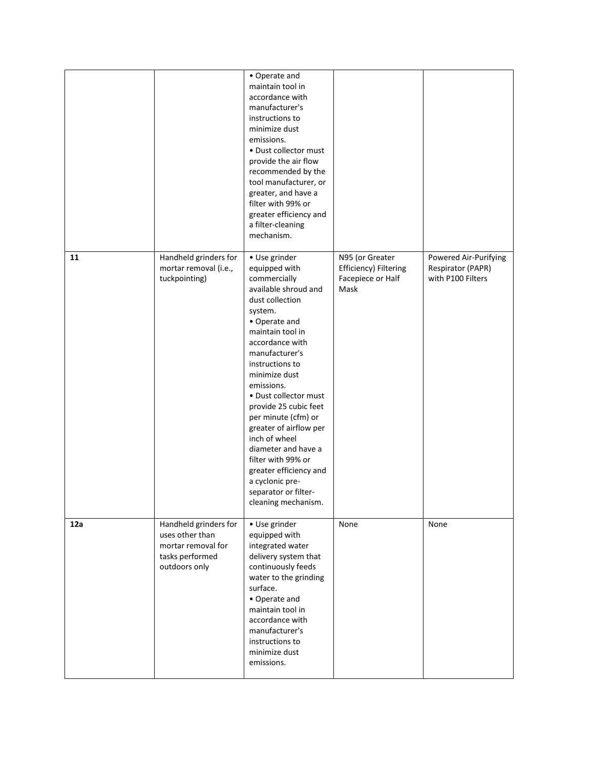|     |                                                                                                    | • Operate and<br>maintain tool in<br>accordance with<br>manufacturer's<br>instructions to<br>minimize dust<br>emissions.<br>• Dust collector must<br>provide the air flow<br>recommended by the<br>tool manufacturer, or<br>greater, and have a<br>filter with 99% or<br>greater efficiency and<br>a filter-cleaning<br>mechanism.                                                                                                                                                            |                                                                       |                                                                 |
|-----|----------------------------------------------------------------------------------------------------|-----------------------------------------------------------------------------------------------------------------------------------------------------------------------------------------------------------------------------------------------------------------------------------------------------------------------------------------------------------------------------------------------------------------------------------------------------------------------------------------------|-----------------------------------------------------------------------|-----------------------------------------------------------------|
| 11  | Handheld grinders for<br>mortar removal (i.e.,<br>tuckpointing)                                    | • Use grinder<br>equipped with<br>commercially<br>available shroud and<br>dust collection<br>system.<br>• Operate and<br>maintain tool in<br>accordance with<br>manufacturer's<br>instructions to<br>minimize dust<br>emissions.<br>• Dust collector must<br>provide 25 cubic feet<br>per minute (cfm) or<br>greater of airflow per<br>inch of wheel<br>diameter and have a<br>filter with 99% or<br>greater efficiency and<br>a cyclonic pre-<br>separator or filter-<br>cleaning mechanism. | N95 (or Greater<br>Efficiency) Filtering<br>Facepiece or Half<br>Mask | Powered Air-Purifying<br>Respirator (PAPR)<br>with P100 Filters |
| 12a | Handheld grinders for<br>uses other than<br>mortar removal for<br>tasks performed<br>outdoors only | • Use grinder<br>equipped with<br>integrated water<br>delivery system that<br>continuously feeds<br>water to the grinding<br>surface.<br>• Operate and<br>maintain tool in<br>accordance with<br>manufacturer's<br>instructions to<br>minimize dust<br>emissions.                                                                                                                                                                                                                             | None                                                                  | None                                                            |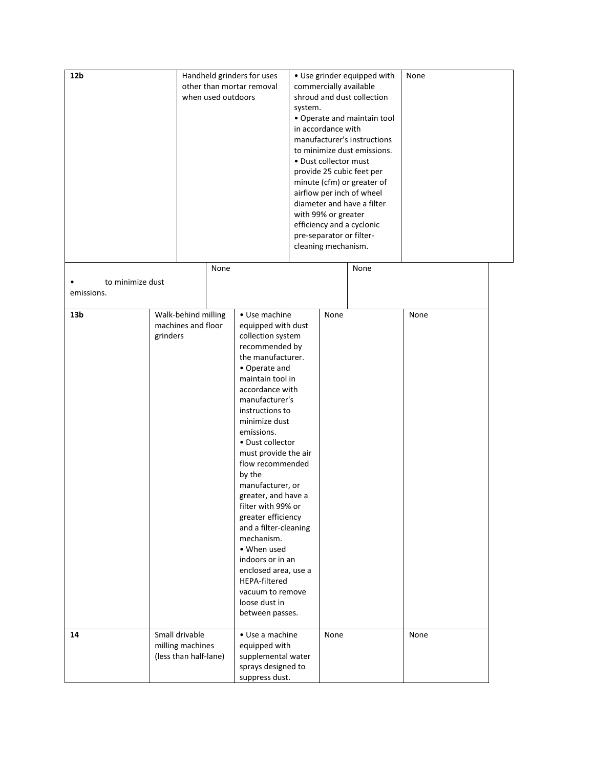| 12 <sub>b</sub>                |          | Handheld grinders for uses<br>other than mortar removal<br>when used outdoors<br>None |  | · Use grinder equipped with<br>commercially available<br>shroud and dust collection<br>system.<br>• Operate and maintain tool<br>in accordance with<br>manufacturer's instructions<br>to minimize dust emissions.<br>• Dust collector must<br>provide 25 cubic feet per<br>minute (cfm) or greater of<br>airflow per inch of wheel<br>diameter and have a filter<br>with 99% or greater<br>efficiency and a cyclonic<br>pre-separator or filter-<br>cleaning mechanism.<br>None                                                                                         |  |      | None |      |  |
|--------------------------------|----------|---------------------------------------------------------------------------------------|--|-------------------------------------------------------------------------------------------------------------------------------------------------------------------------------------------------------------------------------------------------------------------------------------------------------------------------------------------------------------------------------------------------------------------------------------------------------------------------------------------------------------------------------------------------------------------------|--|------|------|------|--|
| to minimize dust<br>emissions. |          |                                                                                       |  |                                                                                                                                                                                                                                                                                                                                                                                                                                                                                                                                                                         |  |      |      |      |  |
| 13 <sub>b</sub>                | grinders | Walk-behind milling<br>machines and floor                                             |  | • Use machine<br>equipped with dust<br>collection system<br>recommended by<br>the manufacturer.<br>• Operate and<br>maintain tool in<br>accordance with<br>manufacturer's<br>instructions to<br>minimize dust<br>emissions.<br>• Dust collector<br>must provide the air<br>flow recommended<br>by the<br>manufacturer, or<br>greater, and have a<br>filter with 99% or<br>greater efficiency<br>and a filter-cleaning<br>mechanism.<br>• When used<br>indoors or in an<br>enclosed area, use a<br>HEPA-filtered<br>vacuum to remove<br>loose dust in<br>between passes. |  | None |      | None |  |
| 14                             |          | Small drivable<br>milling machines<br>(less than half-lane)                           |  | • Use a machine<br>equipped with<br>supplemental water<br>sprays designed to<br>suppress dust.                                                                                                                                                                                                                                                                                                                                                                                                                                                                          |  | None |      | None |  |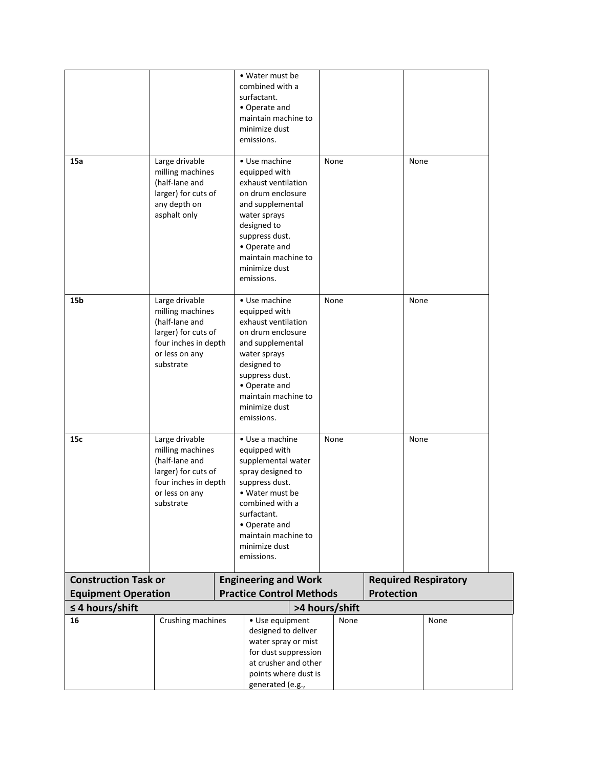|                             |                                                                                                                                    |                                                                                                                                                                                                                        | • Water must be<br>combined with a<br>surfactant.<br>• Operate and<br>maintain machine to<br>minimize dust<br>emissions.                                                                                                  |  |                |                             |      |      |
|-----------------------------|------------------------------------------------------------------------------------------------------------------------------------|------------------------------------------------------------------------------------------------------------------------------------------------------------------------------------------------------------------------|---------------------------------------------------------------------------------------------------------------------------------------------------------------------------------------------------------------------------|--|----------------|-----------------------------|------|------|
| 15a                         | Large drivable<br>milling machines<br>(half-lane and<br>larger) for cuts of<br>any depth on<br>asphalt only                        |                                                                                                                                                                                                                        | • Use machine<br>equipped with<br>exhaust ventilation<br>on drum enclosure<br>and supplemental<br>water sprays<br>designed to<br>suppress dust.<br>• Operate and<br>maintain machine to<br>minimize dust<br>emissions.    |  | None           |                             | None |      |
| 15b                         | Large drivable<br>milling machines<br>(half-lane and<br>larger) for cuts of<br>four inches in depth<br>or less on any<br>substrate | • Use machine<br>equipped with<br>exhaust ventilation<br>on drum enclosure<br>and supplemental<br>water sprays<br>designed to<br>suppress dust.<br>• Operate and<br>maintain machine to<br>minimize dust<br>emissions. |                                                                                                                                                                                                                           |  | None           |                             | None |      |
| 15c                         | Large drivable<br>milling machines<br>(half-lane and<br>larger) for cuts of<br>four inches in depth<br>or less on any<br>substrate |                                                                                                                                                                                                                        | • Use a machine<br>equipped with<br>supplemental water<br>spray designed to<br>suppress dust.<br>• Water must be<br>combined with a<br>surfactant.<br>• Operate and<br>maintain machine to<br>minimize dust<br>emissions. |  | None           |                             | None |      |
| <b>Construction Task or</b> |                                                                                                                                    |                                                                                                                                                                                                                        | <b>Engineering and Work</b>                                                                                                                                                                                               |  |                | <b>Required Respiratory</b> |      |      |
| <b>Equipment Operation</b>  |                                                                                                                                    |                                                                                                                                                                                                                        | <b>Practice Control Methods</b>                                                                                                                                                                                           |  | >4 hours/shift | <b>Protection</b>           |      |      |
| $\leq$ 4 hours/shift<br>16  | Crushing machines                                                                                                                  |                                                                                                                                                                                                                        | · Use equipment<br>designed to deliver<br>water spray or mist<br>for dust suppression<br>at crusher and other<br>points where dust is<br>generated (e.g.,                                                                 |  | None           |                             |      | None |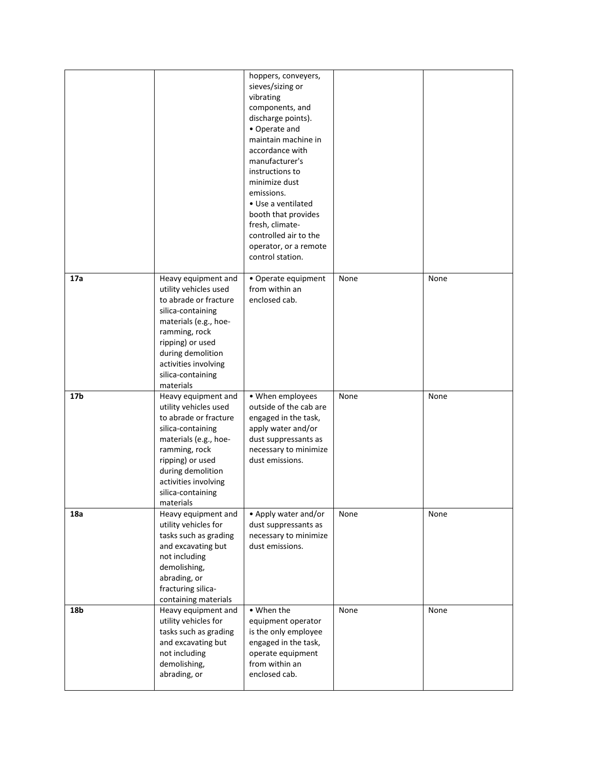|                 |                                                                                                                                                                                                                                         | hoppers, conveyers,<br>sieves/sizing or<br>vibrating<br>components, and<br>discharge points).<br>• Operate and<br>maintain machine in<br>accordance with<br>manufacturer's<br>instructions to<br>minimize dust<br>emissions.<br>• Use a ventilated<br>booth that provides<br>fresh, climate-<br>controlled air to the<br>operator, or a remote<br>control station. |      |      |
|-----------------|-----------------------------------------------------------------------------------------------------------------------------------------------------------------------------------------------------------------------------------------|--------------------------------------------------------------------------------------------------------------------------------------------------------------------------------------------------------------------------------------------------------------------------------------------------------------------------------------------------------------------|------|------|
| 17a             | Heavy equipment and<br>utility vehicles used<br>to abrade or fracture<br>silica-containing<br>materials (e.g., hoe-<br>ramming, rock<br>ripping) or used<br>during demolition<br>activities involving<br>silica-containing<br>materials | • Operate equipment<br>from within an<br>enclosed cab.                                                                                                                                                                                                                                                                                                             | None | None |
| 17 <sub>b</sub> | Heavy equipment and<br>utility vehicles used<br>to abrade or fracture<br>silica-containing<br>materials (e.g., hoe-<br>ramming, rock<br>ripping) or used<br>during demolition<br>activities involving<br>silica-containing<br>materials | • When employees<br>outside of the cab are<br>engaged in the task,<br>apply water and/or<br>dust suppressants as<br>necessary to minimize<br>dust emissions.                                                                                                                                                                                                       | None | None |
| 18a             | Heavy equipment and<br>utility vehicles for<br>tasks such as grading<br>and excavating but<br>not including<br>demolishing,<br>abrading, or<br>fracturing silica-<br>containing materials                                               | • Apply water and/or<br>dust suppressants as<br>necessary to minimize<br>dust emissions.                                                                                                                                                                                                                                                                           | None | None |
| 18b             | Heavy equipment and<br>utility vehicles for<br>tasks such as grading<br>and excavating but<br>not including<br>demolishing,<br>abrading, or                                                                                             | • When the<br>equipment operator<br>is the only employee<br>engaged in the task,<br>operate equipment<br>from within an<br>enclosed cab.                                                                                                                                                                                                                           | None | None |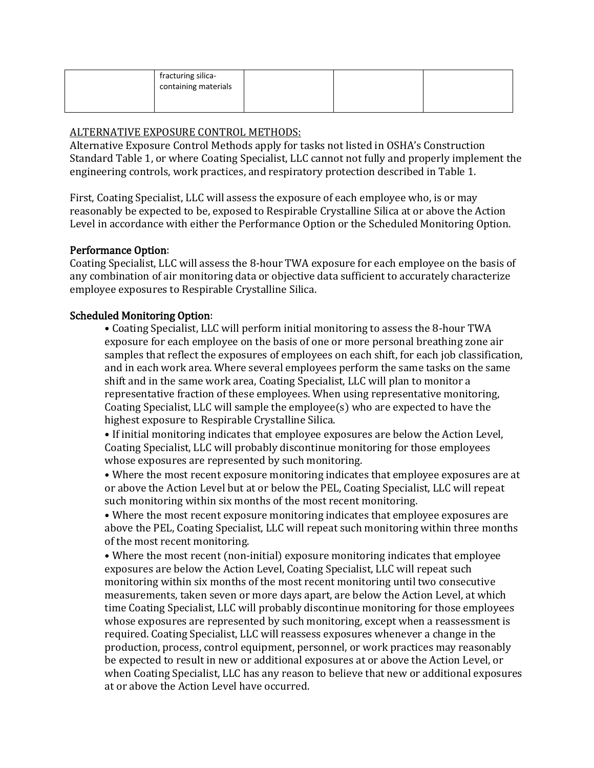| fracturing silica-<br>containing materials |  |  |
|--------------------------------------------|--|--|
|                                            |  |  |

# ALTERNATIVE EXPOSURE CONTROL METHODS:

Alternative Exposure Control Methods apply for tasks not listed in OSHA's Construction Standard Table 1, or where Coating Specialist, LLC cannot not fully and properly implement the engineering controls, work practices, and respiratory protection described in Table 1.

First, Coating Specialist, LLC will assess the exposure of each employee who, is or may reasonably be expected to be, exposed to Respirable Crystalline Silica at or above the Action Level in accordance with either the Performance Option or the Scheduled Monitoring Option.

# Performance Option:

Coating Specialist, LLC will assess the 8-hour TWA exposure for each employee on the basis of any combination of air monitoring data or objective data sufficient to accurately characterize employee exposures to Respirable Crystalline Silica.

# Scheduled Monitoring Option:

• Coating Specialist, LLC will perform initial monitoring to assess the 8-hour TWA exposure for each employee on the basis of one or more personal breathing zone air samples that reflect the exposures of employees on each shift, for each job classification, and in each work area. Where several employees perform the same tasks on the same shift and in the same work area, Coating Specialist, LLC will plan to monitor a representative fraction of these employees. When using representative monitoring, Coating Specialist, LLC will sample the employee(s) who are expected to have the highest exposure to Respirable Crystalline Silica.

• If initial monitoring indicates that employee exposures are below the Action Level, Coating Specialist, LLC will probably discontinue monitoring for those employees whose exposures are represented by such monitoring.

• Where the most recent exposure monitoring indicates that employee exposures are at or above the Action Level but at or below the PEL, Coating Specialist, LLC will repeat such monitoring within six months of the most recent monitoring.

• Where the most recent exposure monitoring indicates that employee exposures are above the PEL, Coating Specialist, LLC will repeat such monitoring within three months of the most recent monitoring.

• Where the most recent (non-initial) exposure monitoring indicates that employee exposures are below the Action Level, Coating Specialist, LLC will repeat such monitoring within six months of the most recent monitoring until two consecutive measurements, taken seven or more days apart, are below the Action Level, at which time Coating Specialist, LLC will probably discontinue monitoring for those employees whose exposures are represented by such monitoring, except when a reassessment is required. Coating Specialist, LLC will reassess exposures whenever a change in the production, process, control equipment, personnel, or work practices may reasonably be expected to result in new or additional exposures at or above the Action Level, or when Coating Specialist, LLC has any reason to believe that new or additional exposures at or above the Action Level have occurred.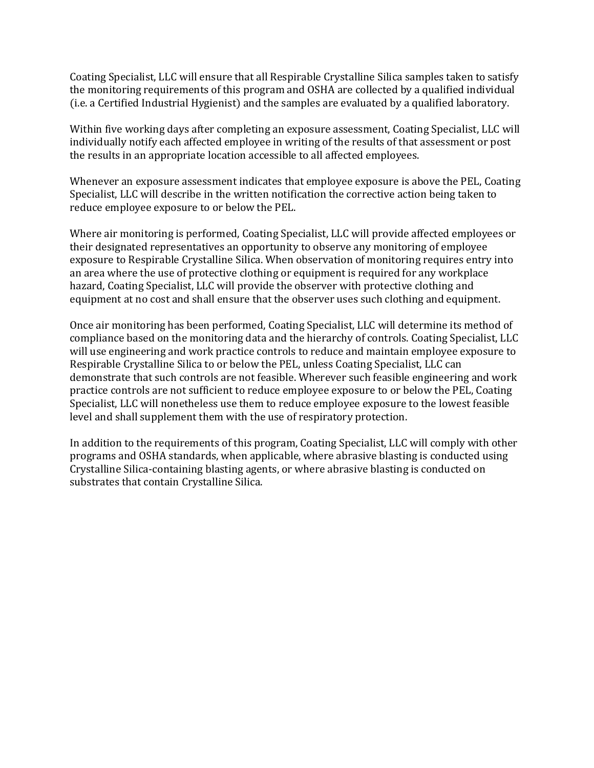Coating Specialist, LLC will ensure that all Respirable Crystalline Silica samples taken to satisfy the monitoring requirements of this program and OSHA are collected by a qualified individual (i.e. a Certified Industrial Hygienist) and the samples are evaluated by a qualified laboratory.

Within five working days after completing an exposure assessment, Coating Specialist, LLC will individually notify each affected employee in writing of the results of that assessment or post the results in an appropriate location accessible to all affected employees.

Whenever an exposure assessment indicates that employee exposure is above the PEL, Coating Specialist, LLC will describe in the written notification the corrective action being taken to reduce employee exposure to or below the PEL.

Where air monitoring is performed, Coating Specialist, LLC will provide affected employees or their designated representatives an opportunity to observe any monitoring of employee exposure to Respirable Crystalline Silica. When observation of monitoring requires entry into an area where the use of protective clothing or equipment is required for any workplace hazard, Coating Specialist, LLC will provide the observer with protective clothing and equipment at no cost and shall ensure that the observer uses such clothing and equipment.

Once air monitoring has been performed, Coating Specialist, LLC will determine its method of compliance based on the monitoring data and the hierarchy of controls. Coating Specialist, LLC will use engineering and work practice controls to reduce and maintain employee exposure to Respirable Crystalline Silica to or below the PEL, unless Coating Specialist, LLC can demonstrate that such controls are not feasible. Wherever such feasible engineering and work practice controls are not sufficient to reduce employee exposure to or below the PEL, Coating Specialist, LLC will nonetheless use them to reduce employee exposure to the lowest feasible level and shall supplement them with the use of respiratory protection.

In addition to the requirements of this program, Coating Specialist, LLC will comply with other programs and OSHA standards, when applicable, where abrasive blasting is conducted using Crystalline Silica-containing blasting agents, or where abrasive blasting is conducted on substrates that contain Crystalline Silica.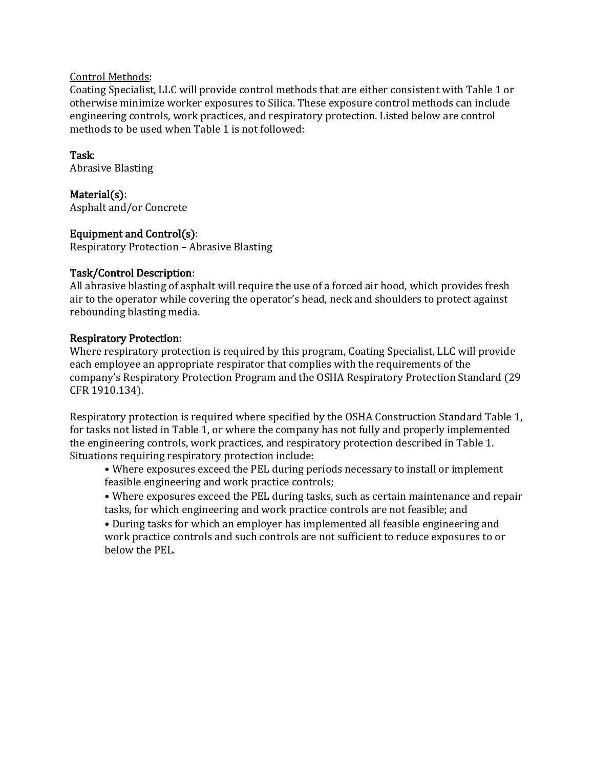## Control Methods:

Coating Specialist, LLC will provide control methods that are either consistent with Table 1 or otherwise minimize worker exposures to Silica. These exposure control methods can include engineering controls, work practices, and respiratory protection. Listed below are control methods to be used when Table 1 is not followed:

# Task:

Abrasive Blasting

Material(s):

Asphalt and/or Concrete

# Equipment and Control(s):

Respiratory Protection – Abrasive Blasting

# Task/Control Description:

All abrasive blasting of asphalt will require the use of a forced air hood, which provides fresh air to the operator while covering the operator's head, neck and shoulders to protect against rebounding blasting media.

# Respiratory Protection:

Where respiratory protection is required by this program, Coating Specialist, LLC will provide each employee an appropriate respirator that complies with the requirements of the company's Respiratory Protection Program and the OSHA Respiratory Protection Standard (29 CFR 1910.134).

Respiratory protection is required where specified by the OSHA Construction Standard Table 1, for tasks not listed in Table 1, or where the company has not fully and properly implemented the engineering controls, work practices, and respiratory protection described in Table 1. Situations requiring respiratory protection include:

• Where exposures exceed the PEL during periods necessary to install or implement feasible engineering and work practice controls;

• Where exposures exceed the PEL during tasks, such as certain maintenance and repair tasks, for which engineering and work practice controls are not feasible; and

• During tasks for which an employer has implemented all feasible engineering and work practice controls and such controls are not sufficient to reduce exposures to or below the PEL.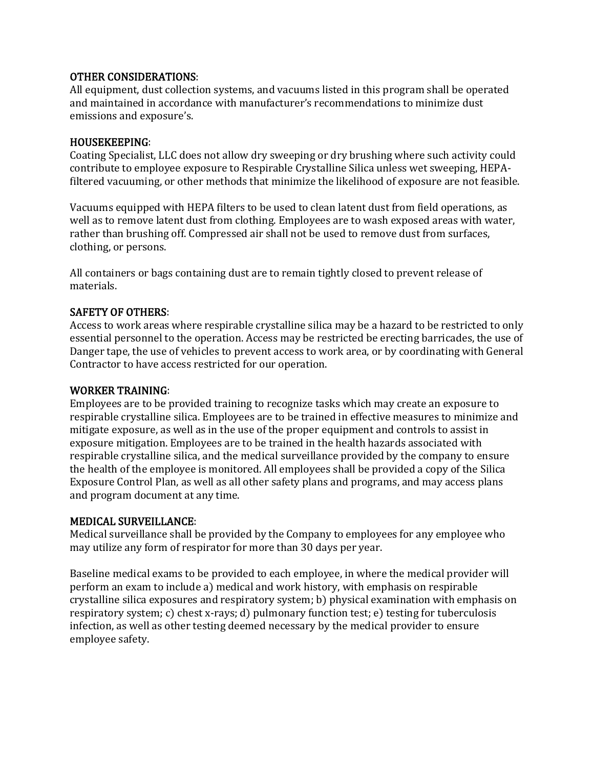## OTHER CONSIDERATIONS:

All equipment, dust collection systems, and vacuums listed in this program shall be operated and maintained in accordance with manufacturer's recommendations to minimize dust emissions and exposure's.

#### HOUSEKEEPING:

Coating Specialist, LLC does not allow dry sweeping or dry brushing where such activity could contribute to employee exposure to Respirable Crystalline Silica unless wet sweeping, HEPAfiltered vacuuming, or other methods that minimize the likelihood of exposure are not feasible.

Vacuums equipped with HEPA filters to be used to clean latent dust from field operations, as well as to remove latent dust from clothing. Employees are to wash exposed areas with water, rather than brushing off. Compressed air shall not be used to remove dust from surfaces, clothing, or persons.

All containers or bags containing dust are to remain tightly closed to prevent release of materials.

#### SAFETY OF OTHERS:

Access to work areas where respirable crystalline silica may be a hazard to be restricted to only essential personnel to the operation. Access may be restricted be erecting barricades, the use of Danger tape, the use of vehicles to prevent access to work area, or by coordinating with General Contractor to have access restricted for our operation.

#### WORKER TRAINING:

Employees are to be provided training to recognize tasks which may create an exposure to respirable crystalline silica. Employees are to be trained in effective measures to minimize and mitigate exposure, as well as in the use of the proper equipment and controls to assist in exposure mitigation. Employees are to be trained in the health hazards associated with respirable crystalline silica, and the medical surveillance provided by the company to ensure the health of the employee is monitored. All employees shall be provided a copy of the Silica Exposure Control Plan, as well as all other safety plans and programs, and may access plans and program document at any time.

#### MEDICAL SURVEILLANCE:

Medical surveillance shall be provided by the Company to employees for any employee who may utilize any form of respirator for more than 30 days per year.

Baseline medical exams to be provided to each employee, in where the medical provider will perform an exam to include a) medical and work history, with emphasis on respirable crystalline silica exposures and respiratory system; b) physical examination with emphasis on respiratory system; c) chest x-rays; d) pulmonary function test; e) testing for tuberculosis infection, as well as other testing deemed necessary by the medical provider to ensure employee safety.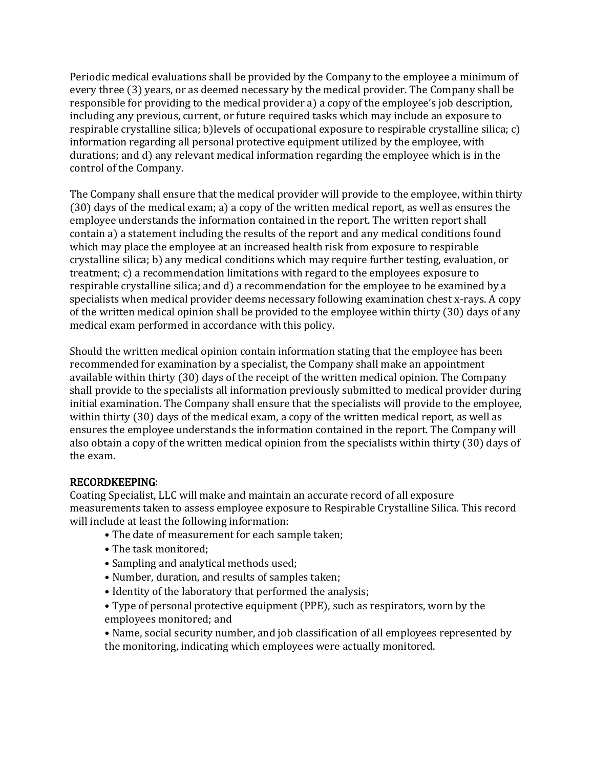Periodic medical evaluations shall be provided by the Company to the employee a minimum of every three (3) years, or as deemed necessary by the medical provider. The Company shall be responsible for providing to the medical provider a) a copy of the employee's job description, including any previous, current, or future required tasks which may include an exposure to respirable crystalline silica; b)levels of occupational exposure to respirable crystalline silica; c) information regarding all personal protective equipment utilized by the employee, with durations; and d) any relevant medical information regarding the employee which is in the control of the Company.

The Company shall ensure that the medical provider will provide to the employee, within thirty (30) days of the medical exam; a) a copy of the written medical report, as well as ensures the employee understands the information contained in the report. The written report shall contain a) a statement including the results of the report and any medical conditions found which may place the employee at an increased health risk from exposure to respirable crystalline silica; b) any medical conditions which may require further testing, evaluation, or treatment; c) a recommendation limitations with regard to the employees exposure to respirable crystalline silica; and d) a recommendation for the employee to be examined by a specialists when medical provider deems necessary following examination chest x-rays. A copy of the written medical opinion shall be provided to the employee within thirty (30) days of any medical exam performed in accordance with this policy.

Should the written medical opinion contain information stating that the employee has been recommended for examination by a specialist, the Company shall make an appointment available within thirty (30) days of the receipt of the written medical opinion. The Company shall provide to the specialists all information previously submitted to medical provider during initial examination. The Company shall ensure that the specialists will provide to the employee, within thirty (30) days of the medical exam, a copy of the written medical report, as well as ensures the employee understands the information contained in the report. The Company will also obtain a copy of the written medical opinion from the specialists within thirty (30) days of the exam.

#### RECORDKEEPING:

Coating Specialist, LLC will make and maintain an accurate record of all exposure measurements taken to assess employee exposure to Respirable Crystalline Silica. This record will include at least the following information:

- The date of measurement for each sample taken;
- The task monitored;
- Sampling and analytical methods used;
- Number, duration, and results of samples taken;
- Identity of the laboratory that performed the analysis;
- Type of personal protective equipment (PPE), such as respirators, worn by the employees monitored; and

• Name, social security number, and job classification of all employees represented by the monitoring, indicating which employees were actually monitored.